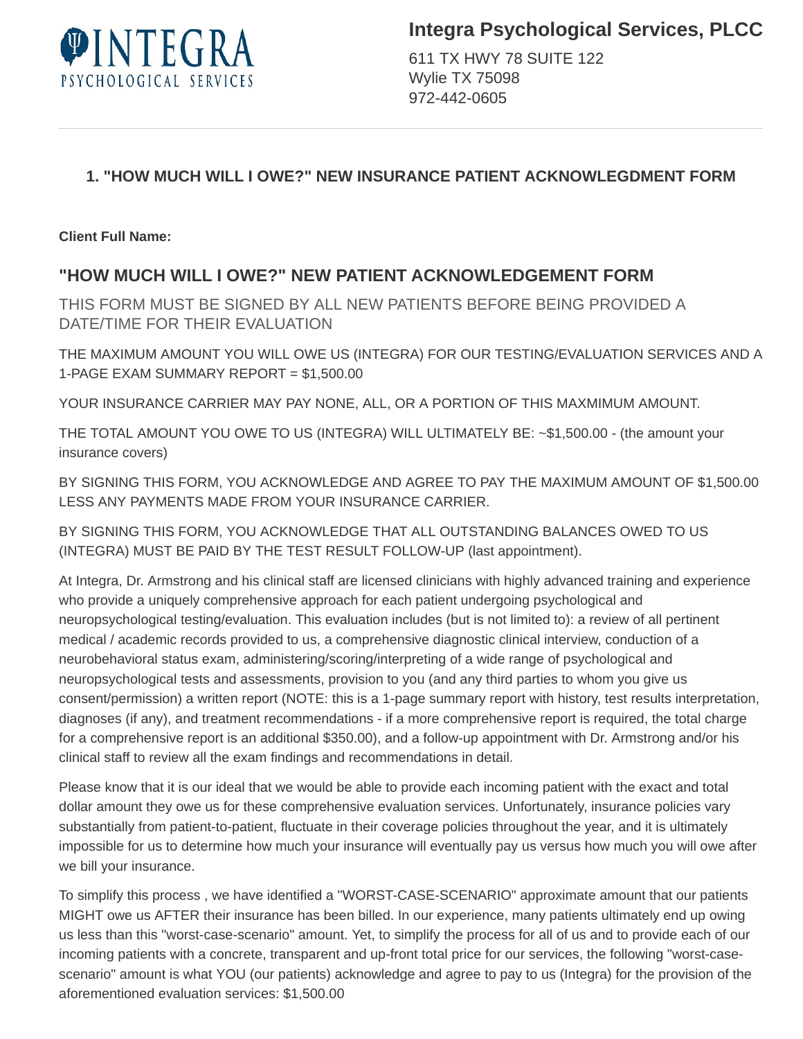

611 TX HWY 78 SUITE 122 Wylie TX 75098 972-442-0605

# **1. "HOW MUCH WILL I OWE?" NEW INSURANCE PATIENT ACKNOWLEGDMENT FORM**

**Client Full Name:** 

# **"HOW MUCH WILL I OWE?" NEW PATIENT ACKNOWLEDGEMENT FORM**

THIS FORM MUST BE SIGNED BY ALL NEW PATIENTS BEFORE BEING PROVIDED A DATE/TIME FOR THEIR EVALUATION

THE MAXIMUM AMOUNT YOU WILL OWE US (INTEGRA) FOR OUR TESTING/EVALUATION SERVICES AND A 1-PAGE EXAM SUMMARY REPORT = \$1,500.00

YOUR INSURANCE CARRIER MAY PAY NONE, ALL, OR A PORTION OF THIS MAXMIMUM AMOUNT.

THE TOTAL AMOUNT YOU OWE TO US (INTEGRA) WILL ULTIMATELY BE: ~\$1,500.00 - (the amount your insurance covers)

BY SIGNING THIS FORM, YOU ACKNOWLEDGE AND AGREE TO PAY THE MAXIMUM AMOUNT OF \$1,500.00 LESS ANY PAYMENTS MADE FROM YOUR INSURANCE CARRIER.

BY SIGNING THIS FORM, YOU ACKNOWLEDGE THAT ALL OUTSTANDING BALANCES OWED TO US (INTEGRA) MUST BE PAID BY THE TEST RESULT FOLLOW-UP (last appointment).

At Integra, Dr. Armstrong and his clinical staff are licensed clinicians with highly advanced training and experience who provide a uniquely comprehensive approach for each patient undergoing psychological and neuropsychological testing/evaluation. This evaluation includes (but is not limited to): a review of all pertinent medical / academic records provided to us, a comprehensive diagnostic clinical interview, conduction of a neurobehavioral status exam, administering/scoring/interpreting of a wide range of psychological and neuropsychological tests and assessments, provision to you (and any third parties to whom you give us consent/permission) a written report (NOTE: this is a 1-page summary report with history, test results interpretation, diagnoses (if any), and treatment recommendations - if a more comprehensive report is required, the total charge for a comprehensive report is an additional \$350.00), and a follow-up appointment with Dr. Armstrong and/or his clinical staff to review all the exam findings and recommendations in detail.

Please know that it is our ideal that we would be able to provide each incoming patient with the exact and total dollar amount they owe us for these comprehensive evaluation services. Unfortunately, insurance policies vary substantially from patient-to-patient, fluctuate in their coverage policies throughout the year, and it is ultimately impossible for us to determine how much your insurance will eventually pay us versus how much you will owe after we bill your insurance.

To simplify this process , we have identified a "WORST-CASE-SCENARIO" approximate amount that our patients MIGHT owe us AFTER their insurance has been billed. In our experience, many patients ultimately end up owing us less than this "worst-case-scenario" amount. Yet, to simplify the process for all of us and to provide each of our incoming patients with a concrete, transparent and up-front total price for our services, the following "worst-casescenario" amount is what YOU (our patients) acknowledge and agree to pay to us (Integra) for the provision of the aforementioned evaluation services: \$1,500.00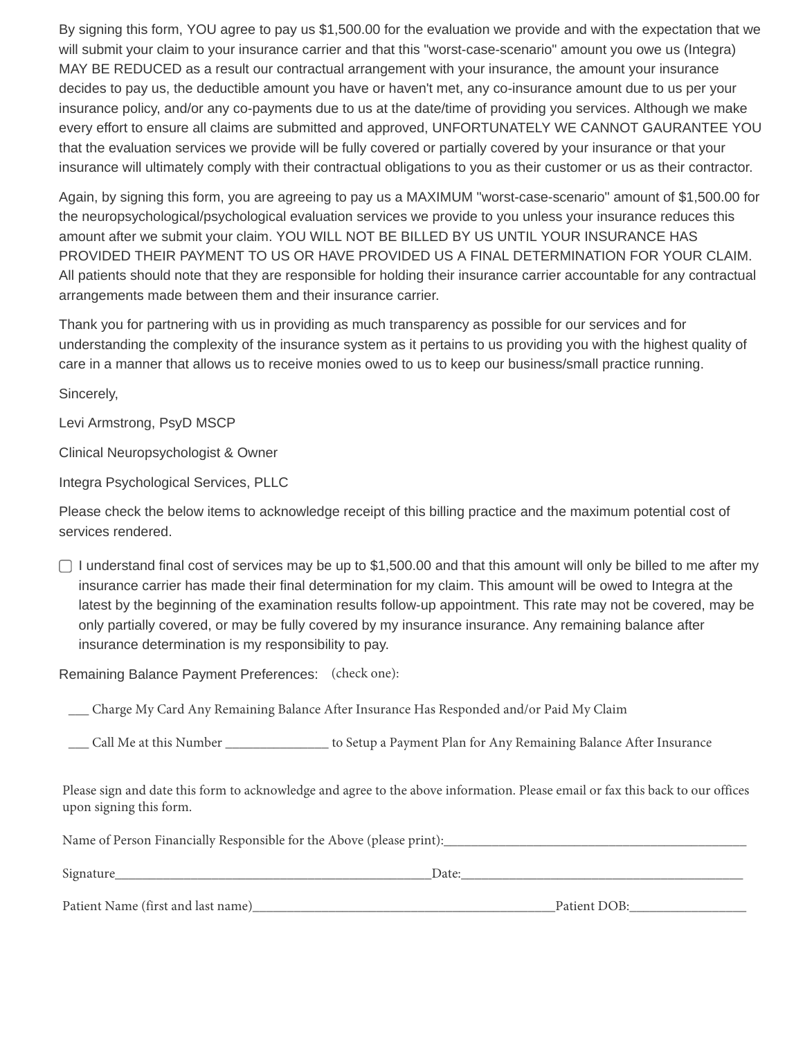By signing this form, YOU agree to pay us \$1,500.00 for the evaluation we provide and with the expectation that we will submit your claim to your insurance carrier and that this "worst-case-scenario" amount you owe us (Integra) MAY BE REDUCED as a result our contractual arrangement with your insurance, the amount your insurance decides to pay us, the deductible amount you have or haven't met, any co-insurance amount due to us per your insurance policy, and/or any co-payments due to us at the date/time of providing you services. Although we make every effort to ensure all claims are submitted and approved, UNFORTUNATELY WE CANNOT GAURANTEE YOU that the evaluation services we provide will be fully covered or partially covered by your insurance or that your insurance will ultimately comply with their contractual obligations to you as their customer or us as their contractor.

Again, by signing this form, you are agreeing to pay us a MAXIMUM "worst-case-scenario" amount of \$1,500.00 for the neuropsychological/psychological evaluation services we provide to you unless your insurance reduces this amount after we submit your claim. YOU WILL NOT BE BILLED BY US UNTIL YOUR INSURANCE HAS PROVIDED THEIR PAYMENT TO US OR HAVE PROVIDED US A FINAL DETERMINATION FOR YOUR CLAIM. All patients should note that they are responsible for holding their insurance carrier accountable for any contractual arrangements made between them and their insurance carrier.

Thank you for partnering with us in providing as much transparency as possible for our services and for understanding the complexity of the insurance system as it pertains to us providing you with the highest quality of care in a manner that allows us to receive monies owed to us to keep our business/small practice running.

Sincerely,

Levi Armstrong, PsyD MSCP

Clinical Neuropsychologist & Owner

Integra Psychological Services, PLLC

Please check the below items to acknowledge receipt of this billing practice and the maximum potential cost of services rendered.

 $\Box$  I understand final cost of services may be up to \$1,500.00 and that this amount will only be billed to me after my insurance carrier has made their final determination for my claim. This amount will be owed to Integra at the latest by the beginning of the examination results follow-up appointment. This rate may not be covered, may be only partially covered, or may be fully covered by my insurance insurance. Any remaining balance after insurance determination is my responsibility to pay.

Remaining Balance Payment Preferences: (check one):

\_\_\_ Charge My Card Any Remaining Balance After Insurance Has Responded and/or Paid My Claim

\_\_\_ Call Me at this Number \_\_\_\_\_\_\_\_\_\_\_\_\_\_\_ to Setup a Payment Plan for Any Remaining Balance After Insurance

Please sign and date this form to acknowledge and agree to the above information. Please email or fax this back to our offices upon signing this form.

| Name of Person Financially Responsible for the Above (please print): |              |  |  |  |
|----------------------------------------------------------------------|--------------|--|--|--|
| Signature                                                            | Date:        |  |  |  |
| Patient Name (first and last name)                                   | Patient DOB: |  |  |  |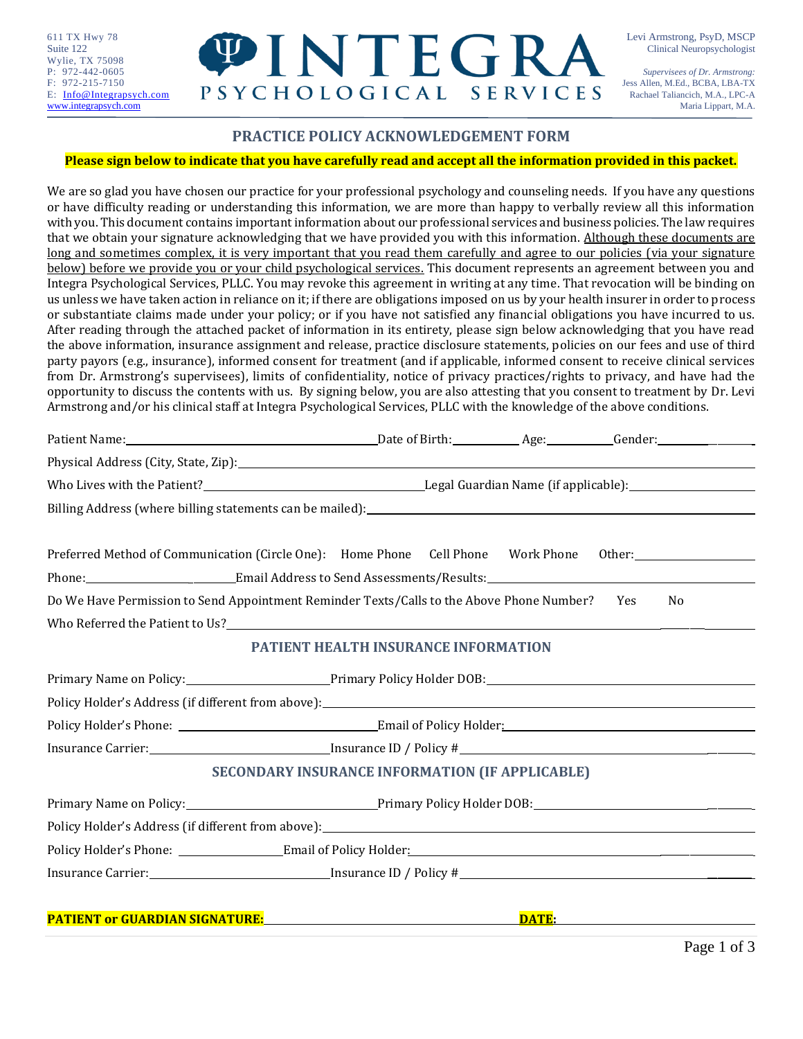Wylie, TX 75098



### **PRACTICE POLICY ACKNOWLEDGEMENT FORM**

#### **Please sign below to indicate that you have carefully read and accept all the information provided in this packet.**

We are so glad you have chosen our practice for your professional psychology and counseling needs. If you have any questions or have difficulty reading or understanding this information, we are more than happy to verbally review all this information with you. This document contains important information about our professional services and business policies. The law requires that we obtain your signature acknowledging that we have provided you with this information. Although these documents are long and sometimes complex, it is very important that you read them carefully and agree to our policies (via your signature below) before we provide you or your child psychological services. This document represents an agreement between you and Integra Psychological Services, PLLC. You may revoke this agreement in writing at any time. That revocation will be binding on us unless we have taken action in reliance on it; if there are obligations imposed on us by your health insurer in order to process or substantiate claims made under your policy; or if you have not satisfied any financial obligations you have incurred to us. After reading through the attached packet of information in its entirety, please sign below acknowledging that you have read the above information, insurance assignment and release, practice disclosure statements, policies on our fees and use of third party payors (e.g., insurance), informed consent for treatment (and if applicable, informed consent to receive clinical services from Dr. Armstrong's supervisees), limits of confidentiality, notice of privacy practices/rights to privacy, and have had the opportunity to discuss the contents with us. By signing below, you are also attesting that you consent to treatment by Dr. Levi Armstrong and/or his clinical staff at Integra Psychological Services, PLLC with the knowledge of the above conditions.

| Patient Name: Gender: General Age: Gender: Gender: Gender: Gender: Gender: Gender: Gender: Gender: Gender: Gender: Gender: Gender: Gender: Gender: Gender: Gender: Gender: Gender: Gender: Gender: Gender: Gender: Gender: Gen |                                                        |              |    |
|--------------------------------------------------------------------------------------------------------------------------------------------------------------------------------------------------------------------------------|--------------------------------------------------------|--------------|----|
|                                                                                                                                                                                                                                |                                                        |              |    |
|                                                                                                                                                                                                                                |                                                        |              |    |
| Billing Address (where billing statements can be mailed): Manual Communication of the mail of the statements of the mail of the mail of the mail of the mail of the mail of the mail of the mail of the mail of the mail of th |                                                        |              |    |
| Preferred Method of Communication (Circle One): Home Phone Cell Phone Work Phone Other:                                                                                                                                        |                                                        |              |    |
| Phone: ________________________________Email Address to Send Assessments/Results: __________________________________                                                                                                           |                                                        |              |    |
| Do We Have Permission to Send Appointment Reminder Texts/Calls to the Above Phone Number? Yes                                                                                                                                  |                                                        |              | No |
|                                                                                                                                                                                                                                |                                                        |              |    |
|                                                                                                                                                                                                                                | PATIENT HEALTH INSURANCE INFORMATION                   |              |    |
|                                                                                                                                                                                                                                |                                                        |              |    |
| Policy Holder's Address (if different from above):<br><u>Dolicy Holder's Address (if different from above):</u>                                                                                                                |                                                        |              |    |
|                                                                                                                                                                                                                                |                                                        |              |    |
|                                                                                                                                                                                                                                |                                                        |              |    |
|                                                                                                                                                                                                                                | <b>SECONDARY INSURANCE INFORMATION (IF APPLICABLE)</b> |              |    |
| Primary Name on Policy: 1990 1991 1991 Primary Policy Holder DOB: 2008 2009 1991 2009 2014 2015 2019 2019 201                                                                                                                  |                                                        |              |    |
|                                                                                                                                                                                                                                |                                                        |              |    |
|                                                                                                                                                                                                                                |                                                        |              |    |
|                                                                                                                                                                                                                                |                                                        |              |    |
|                                                                                                                                                                                                                                |                                                        |              |    |
| <b>PATIENT or GUARDIAN SIGNATURE:</b>                                                                                                                                                                                          |                                                        | <b>DATE:</b> |    |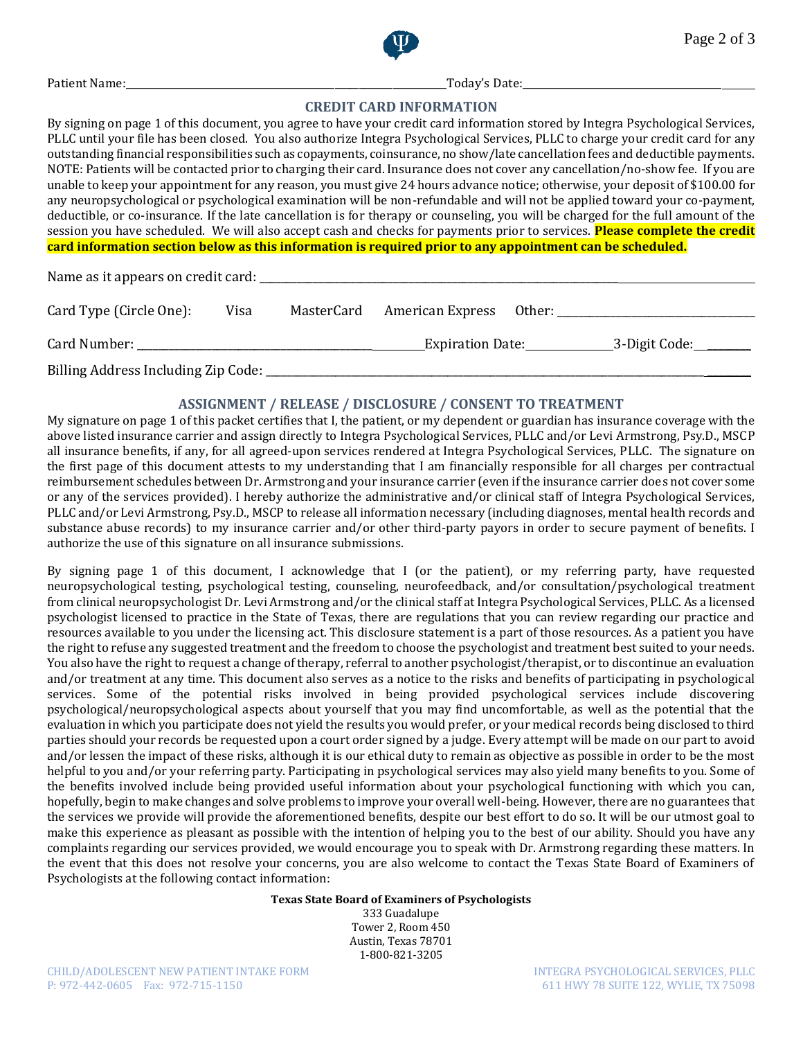

Patient Name:\_\_\_\_\_\_\_\_\_\_\_\_\_\_\_\_\_\_\_\_\_\_\_\_\_\_\_\_\_\_\_\_\_\_\_\_\_\_\_\_\_\_\_\_\_\_\_\_\_\_\_\_\_\_\_\_\_\_\_\_\_\_\_\_\_\_Today's Date:\_\_\_\_\_\_\_\_\_\_\_\_\_\_\_\_\_\_\_\_\_\_\_\_\_\_\_\_\_\_\_\_\_\_\_\_\_\_\_\_\_

#### **CREDIT CARD INFORMATION**

By signing on page 1 of this document, you agree to have your credit card information stored by Integra Psychological Services, PLLC until your file has been closed. You also authorize Integra Psychological Services, PLLC to charge your credit card for any outstanding financial responsibilities such as copayments, coinsurance, no show/late cancellation fees and deductible payments. NOTE: Patients will be contacted prior to charging their card. Insurance does not cover any cancellation/no-show fee. If you are unable to keep your appointment for any reason, you must give 24 hours advance notice; otherwise, your deposit of \$100.00 for any neuropsychological or psychological examination will be non-refundable and will not be applied toward your co-payment, deductible, or co-insurance. If the late cancellation is for therapy or counseling, you will be charged for the full amount of the session you have scheduled. We will also accept cash and checks for payments prior to services. **Please complete the credit card information section below as this information is required prior to any appointment can be scheduled.**

Name as it appears on credit card:

| Card Type (Circle One):             | Visa | MasterCard | American Express        | Other: |                     |
|-------------------------------------|------|------------|-------------------------|--------|---------------------|
| Card Number:                        |      |            | <b>Expiration Date:</b> |        | _3-Digit Code:_____ |
| Billing Address Including Zip Code: |      |            |                         |        |                     |

### **ASSIGNMENT / RELEASE / DISCLOSURE / CONSENT TO TREATMENT**

My signature on page 1 of this packet certifies that I, the patient, or my dependent or guardian has insurance coverage with the above listed insurance carrier and assign directly to Integra Psychological Services, PLLC and/or Levi Armstrong, Psy.D., MSCP all insurance benefits, if any, for all agreed-upon services rendered at Integra Psychological Services, PLLC. The signature on the first page of this document attests to my understanding that I am financially responsible for all charges per contractual reimbursement schedules between Dr. Armstrong and your insurance carrier (even if the insurance carrier does not cover some or any of the services provided). I hereby authorize the administrative and/or clinical staff of Integra Psychological Services, PLLC and/or Levi Armstrong, Psy.D., MSCP to release all information necessary (including diagnoses, mental health records and substance abuse records) to my insurance carrier and/or other third-party payors in order to secure payment of benefits. I authorize the use of this signature on all insurance submissions.

By signing page 1 of this document, I acknowledge that I (or the patient), or my referring party, have requested neuropsychological testing, psychological testing, counseling, neurofeedback, and/or consultation/psychological treatment from clinical neuropsychologist Dr. Levi Armstrong and/or the clinical staff at Integra Psychological Services, PLLC. As a licensed psychologist licensed to practice in the State of Texas, there are regulations that you can review regarding our practice and resources available to you under the licensing act. This disclosure statement is a part of those resources. As a patient you have the right to refuse any suggested treatment and the freedom to choose the psychologist and treatment best suited to your needs. You also have the right to request a change of therapy, referral to another psychologist/therapist, or to discontinue an evaluation and/or treatment at any time. This document also serves as a notice to the risks and benefits of participating in psychological services. Some of the potential risks involved in being provided psychological services include discovering psychological/neuropsychological aspects about yourself that you may find uncomfortable, as well as the potential that the evaluation in which you participate does not yield the results you would prefer, or your medical records being disclosed to third parties should your records be requested upon a court order signed by a judge. Every attempt will be made on our part to avoid and/or lessen the impact of these risks, although it is our ethical duty to remain as objective as possible in order to be the most helpful to you and/or your referring party. Participating in psychological services may also yield many benefits to you. Some of the benefits involved include being provided useful information about your psychological functioning with which you can, hopefully, begin to make changes and solve problems to improve your overall well-being. However, there are no guarantees that the services we provide will provide the aforementioned benefits, despite our best effort to do so. It will be our utmost goal to make this experience as pleasant as possible with the intention of helping you to the best of our ability. Should you have any complaints regarding our services provided, we would encourage you to speak with Dr. Armstrong regarding these matters. In the event that this does not resolve your concerns, you are also welcome to contact the Texas State Board of Examiners of Psychologists at the following contact information:

#### **Texas State Board of Examiners of Psychologists**

333 Guadalupe Tower 2, Room 450 Austin, Texas 78701 1-800-821-3205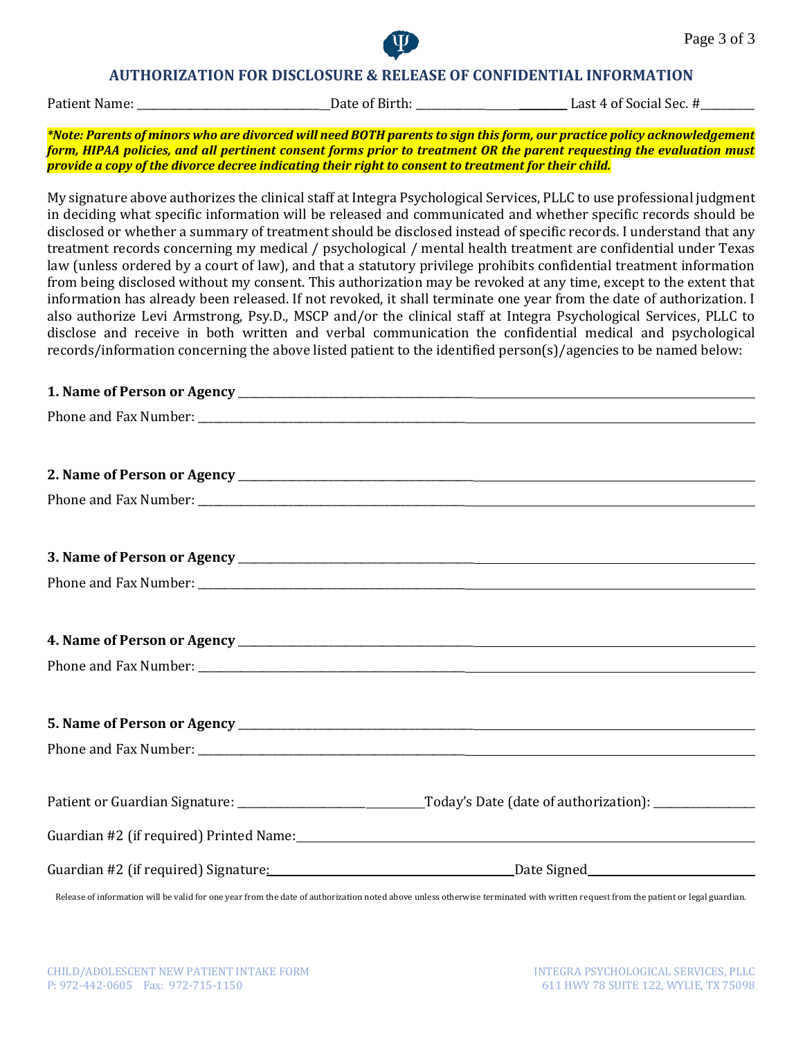

### **AUTHORIZATION FOR DISCLOSURE & RELEASE OF CONFIDENTIAL INFORMATION**

Patient Name: \_\_\_\_\_\_\_\_\_\_\_\_\_\_\_\_\_\_\_\_\_\_\_\_\_\_\_\_\_\_\_\_\_\_ Date of Birth: \_\_\_\_\_\_\_\_\_\_\_\_\_ \_\_\_\_\_\_\_\_\_ Last 4 of Social Sec. #\_\_\_\_\_\_\_\_\_\_

*\*Note: Parents of minors who are divorced will need BOTH parents to sign this form, our practice policy acknowledgement form, HIPAA policies, and all pertinent consent forms prior to treatment OR the parent requesting the evaluation must provide a copy of the divorce decree indicating their right to consent to treatment for their child.*

My signature above authorizes the clinical staff at Integra Psychological Services, PLLC to use professional judgment in deciding what specific information will be released and communicated and whether specific records should be disclosed or whether a summary of treatment should be disclosed instead of specific records. I understand that any treatment records concerning my medical / psychological / mental health treatment are confidential under Texas law (unless ordered by a court of law), and that a statutory privilege prohibits confidential treatment information from being disclosed without my consent. This authorization may be revoked at any time, except to the extent that information has already been released. If not revoked, it shall terminate one year from the date of authorization. I also authorize Levi Armstrong, Psy.D., MSCP and/or the clinical staff at Integra Psychological Services, PLLC to disclose and receive in both written and verbal communication the confidential medical and psychological records/information concerning the above listed patient to the identified person(s)/agencies to be named below:

#### **1. Name of Person or Agency discription of the set of Person or Agency**

| Guardian #2 (if required) Printed Name:<br>                                                                                                                                       |
|-----------------------------------------------------------------------------------------------------------------------------------------------------------------------------------|
|                                                                                                                                                                                   |
| Release of information will be valid for one year from the date of authorization noted above unless otherwise terminated with written request from the patient or legal guardian. |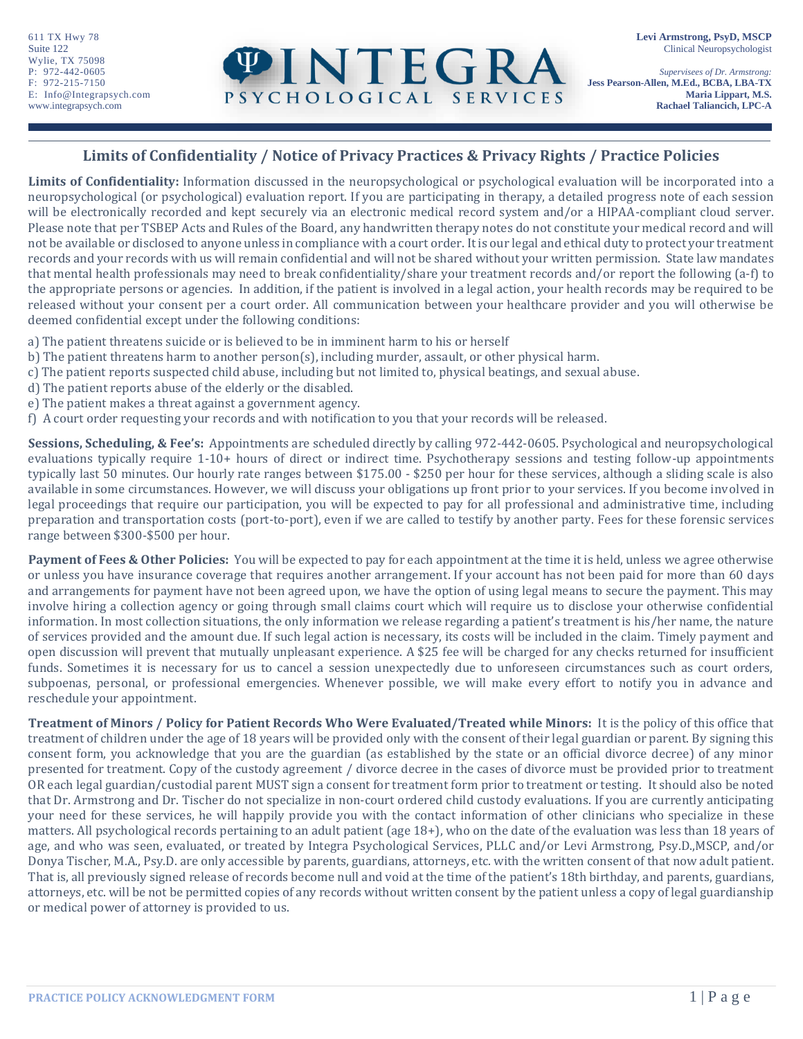P: 972-442-0605 *Supervisees of Dr. Armstrong:* F: 972-215-7150 **Jess Pearson-Allen, M.Ed., BCBA, LBA-TX** E: Info@Integrapsych.com **PSYCHOLOGICAL SERVICES** Maria Lippart, M.S. ww.integrapsych.com **Rachael Taliancich, LPC-A** 

## **Limits of Confidentiality / Notice of Privacy Practices & Privacy Rights / Practice Policies**

**Limits of Confidentiality:** Information discussed in the neuropsychological or psychological evaluation will be incorporated into a neuropsychological (or psychological) evaluation report. If you are participating in therapy, a detailed progress note of each session will be electronically recorded and kept securely via an electronic medical record system and/or a HIPAA-compliant cloud server. Please note that per TSBEP Acts and Rules of the Board, any handwritten therapy notes do not constitute your medical record and will not be available or disclosed to anyone unless in compliance with a court order. It is our legal and ethical duty to protect your treatment records and your records with us will remain confidential and will not be shared without your written permission. State law mandates that mental health professionals may need to break confidentiality/share your treatment records and/or report the following (a-f) to the appropriate persons or agencies. In addition, if the patient is involved in a legal action, your health records may be required to be released without your consent per a court order. All communication between your healthcare provider and you will otherwise be deemed confidential except under the following conditions:

- a) The patient threatens suicide or is believed to be in imminent harm to his or herself
- b) The patient threatens harm to another person(s), including murder, assault, or other physical harm.
- c) The patient reports suspected child abuse, including but not limited to, physical beatings, and sexual abuse.
- d) The patient reports abuse of the elderly or the disabled.
- e) The patient makes a threat against a government agency.
- f) A court order requesting your records and with notification to you that your records will be released.

**Sessions, Scheduling, & Fee's:** Appointments are scheduled directly by calling 972-442-0605. Psychological and neuropsychological evaluations typically require 1-10+ hours of direct or indirect time. Psychotherapy sessions and testing follow-up appointments typically last 50 minutes. Our hourly rate ranges between \$175.00 - \$250 per hour for these services, although a sliding scale is also available in some circumstances. However, we will discuss your obligations up front prior to your services. If you become involved in legal proceedings that require our participation, you will be expected to pay for all professional and administrative time, including preparation and transportation costs (port-to-port), even if we are called to testify by another party. Fees for these forensic services range between \$300-\$500 per hour.

**Payment of Fees & Other Policies:** You will be expected to pay for each appointment at the time it is held, unless we agree otherwise or unless you have insurance coverage that requires another arrangement. If your account has not been paid for more than 60 days and arrangements for payment have not been agreed upon, we have the option of using legal means to secure the payment. This may involve hiring a collection agency or going through small claims court which will require us to disclose your otherwise confidential information. In most collection situations, the only information we release regarding a patient's treatment is his/her name, the nature of services provided and the amount due. If such legal action is necessary, its costs will be included in the claim. Timely payment and open discussion will prevent that mutually unpleasant experience. A \$25 fee will be charged for any checks returned for insufficient funds. Sometimes it is necessary for us to cancel a session unexpectedly due to unforeseen circumstances such as court orders, subpoenas, personal, or professional emergencies. Whenever possible, we will make every effort to notify you in advance and reschedule your appointment.

**Treatment of Minors / Policy for Patient Records Who Were Evaluated/Treated while Minors:** It is the policy of this office that treatment of children under the age of 18 years will be provided only with the consent of their legal guardian or parent. By signing this consent form, you acknowledge that you are the guardian (as established by the state or an official divorce decree) of any minor presented for treatment. Copy of the custody agreement / divorce decree in the cases of divorce must be provided prior to treatment OR each legal guardian/custodial parent MUST sign a consent for treatment form prior to treatment or testing. It should also be noted that Dr. Armstrong and Dr. Tischer do not specialize in non-court ordered child custody evaluations. If you are currently anticipating your need for these services, he will happily provide you with the contact information of other clinicians who specialize in these matters. All psychological records pertaining to an adult patient (age 18+), who on the date of the evaluation was less than 18 years of age, and who was seen, evaluated, or treated by Integra Psychological Services, PLLC and/or Levi Armstrong, Psy.D.,MSCP, and/or Donya Tischer, M.A., Psy.D. are only accessible by parents, guardians, attorneys, etc. with the written consent of that now adult patient. That is, all previously signed release of records become null and void at the time of the patient's 18th birthday, and parents, guardians, attorneys, etc. will be not be permitted copies of any records without written consent by the patient unless a copy of legal guardianship or medical power of attorney is provided to us.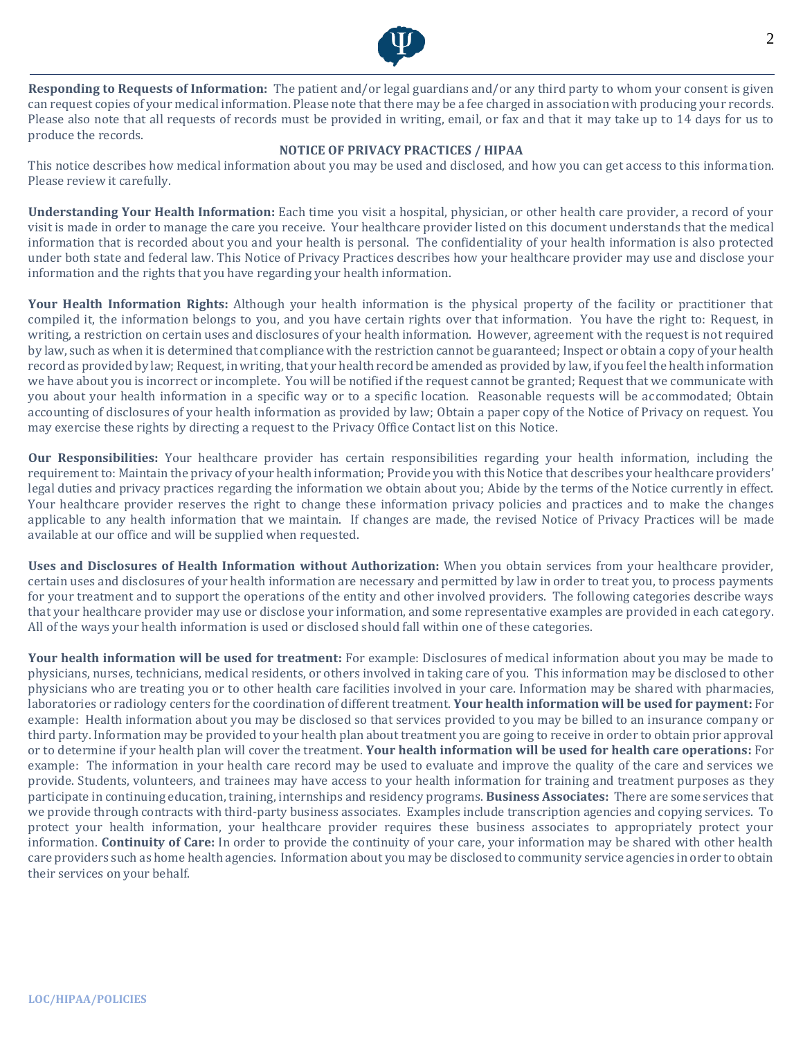

**Responding to Requests of Information:** The patient and/or legal guardians and/or any third party to whom your consent is given can request copies of your medical information. Please note that there may be a fee charged in association with producing your records. Please also note that all requests of records must be provided in writing, email, or fax and that it may take up to 14 days for us to produce the records.

#### **NOTICE OF PRIVACY PRACTICES / HIPAA**

This notice describes how medical information about you may be used and disclosed, and how you can get access to this information. Please review it carefully.

**Understanding Your Health Information:** Each time you visit a hospital, physician, or other health care provider, a record of your visit is made in order to manage the care you receive. Your healthcare provider listed on this document understands that the medical information that is recorded about you and your health is personal. The confidentiality of your health information is also protected under both state and federal law. This Notice of Privacy Practices describes how your healthcare provider may use and disclose your information and the rights that you have regarding your health information.

**Your Health Information Rights:** Although your health information is the physical property of the facility or practitioner that compiled it, the information belongs to you, and you have certain rights over that information. You have the right to: Request, in writing, a restriction on certain uses and disclosures of your health information. However, agreement with the request is not required by law, such as when it is determined that compliance with the restriction cannot be guaranteed; Inspect or obtain a copy of your health record as provided by law; Request, in writing, that your health record be amended as provided by law, if you feel the health information we have about you is incorrect or incomplete. You will be notified if the request cannot be granted; Request that we communicate with you about your health information in a specific way or to a specific location. Reasonable requests will be accommodated; Obtain accounting of disclosures of your health information as provided by law; Obtain a paper copy of the Notice of Privacy on request. You may exercise these rights by directing a request to the Privacy Office Contact list on this Notice.

**Our Responsibilities:** Your healthcare provider has certain responsibilities regarding your health information, including the requirement to: Maintain the privacy of your health information; Provide you with this Notice that describes your healthcare providers' legal duties and privacy practices regarding the information we obtain about you; Abide by the terms of the Notice currently in effect. Your healthcare provider reserves the right to change these information privacy policies and practices and to make the changes applicable to any health information that we maintain. If changes are made, the revised Notice of Privacy Practices will be made available at our office and will be supplied when requested.

**Uses and Disclosures of Health Information without Authorization:** When you obtain services from your healthcare provider, certain uses and disclosures of your health information are necessary and permitted by law in order to treat you, to process payments for your treatment and to support the operations of the entity and other involved providers. The following categories describe ways that your healthcare provider may use or disclose your information, and some representative examples are provided in each category. All of the ways your health information is used or disclosed should fall within one of these categories.

**Your health information will be used for treatment:** For example: Disclosures of medical information about you may be made to physicians, nurses, technicians, medical residents, or others involved in taking care of you. This information may be disclosed to other physicians who are treating you or to other health care facilities involved in your care. Information may be shared with pharmacies, laboratories or radiology centers for the coordination of different treatment. **Your health information will be used for payment:** For example: Health information about you may be disclosed so that services provided to you may be billed to an insurance company or third party. Information may be provided to your health plan about treatment you are going to receive in order to obtain prior approval or to determine if your health plan will cover the treatment. **Your health information will be used for health care operations:** For example: The information in your health care record may be used to evaluate and improve the quality of the care and services we provide. Students, volunteers, and trainees may have access to your health information for training and treatment purposes as they participate in continuing education, training, internships and residency programs. **Business Associates:** There are some services that we provide through contracts with third-party business associates. Examples include transcription agencies and copying services. To protect your health information, your healthcare provider requires these business associates to appropriately protect your information. **Continuity of Care:** In order to provide the continuity of your care, your information may be shared with other health care providers such as home health agencies. Information about you may be disclosed to community service agencies in order to obtain their services on your behalf.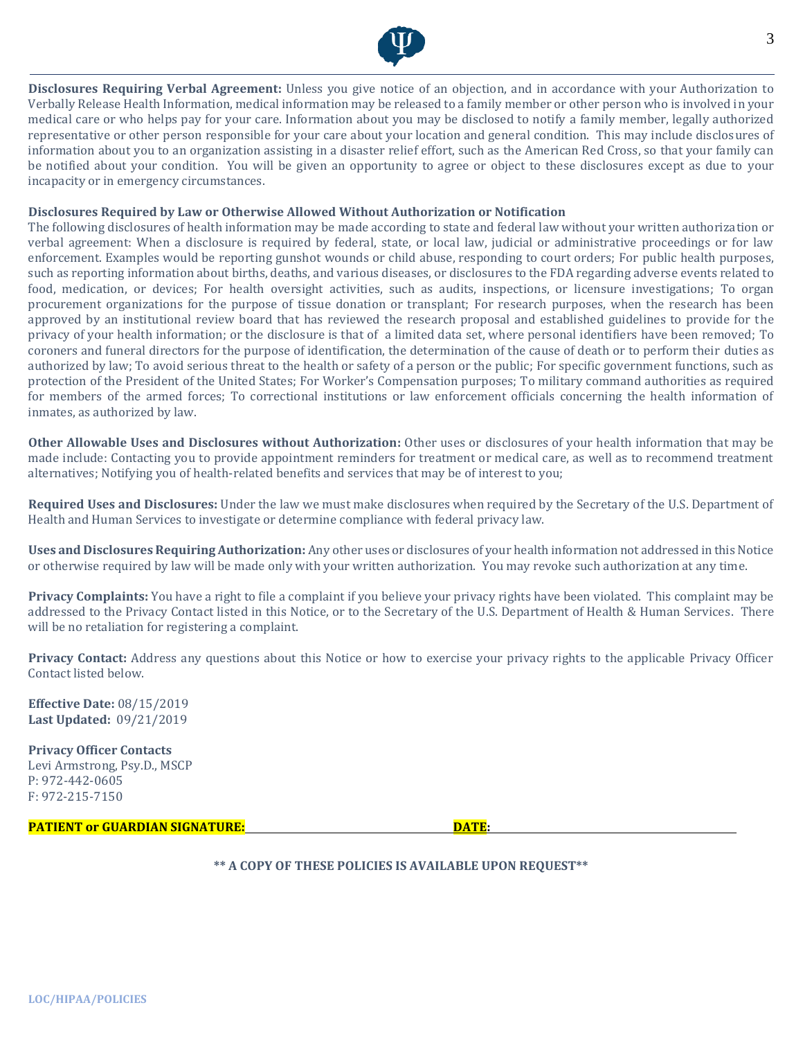

**Disclosures Requiring Verbal Agreement:** Unless you give notice of an objection, and in accordance with your Authorization to Verbally Release Health Information, medical information may be released to a family member or other person who is involved in your medical care or who helps pay for your care. Information about you may be disclosed to notify a family member, legally authorized representative or other person responsible for your care about your location and general condition. This may include disclosures of information about you to an organization assisting in a disaster relief effort, such as the American Red Cross, so that your family can be notified about your condition. You will be given an opportunity to agree or object to these disclosures except as due to your incapacity or in emergency circumstances.

#### **Disclosures Required by Law or Otherwise Allowed Without Authorization or Notification**

The following disclosures of health information may be made according to state and federal law without your written authorization or verbal agreement: When a disclosure is required by federal, state, or local law, judicial or administrative proceedings or for law enforcement. Examples would be reporting gunshot wounds or child abuse, responding to court orders; For public health purposes, such as reporting information about births, deaths, and various diseases, or disclosures to the FDA regarding adverse events related to food, medication, or devices; For health oversight activities, such as audits, inspections, or licensure investigations; To organ procurement organizations for the purpose of tissue donation or transplant; For research purposes, when the research has been approved by an institutional review board that has reviewed the research proposal and established guidelines to provide for the privacy of your health information; or the disclosure is that of a limited data set, where personal identifiers have been removed; To coroners and funeral directors for the purpose of identification, the determination of the cause of death or to perform their duties as authorized by law; To avoid serious threat to the health or safety of a person or the public; For specific government functions, such as protection of the President of the United States; For Worker's Compensation purposes; To military command authorities as required for members of the armed forces; To correctional institutions or law enforcement officials concerning the health information of inmates, as authorized by law.

**Other Allowable Uses and Disclosures without Authorization:** Other uses or disclosures of your health information that may be made include: Contacting you to provide appointment reminders for treatment or medical care, as well as to recommend treatment alternatives; Notifying you of health-related benefits and services that may be of interest to you;

**Required Uses and Disclosures:** Under the law we must make disclosures when required by the Secretary of the U.S. Department of Health and Human Services to investigate or determine compliance with federal privacy law.

**Uses and Disclosures Requiring Authorization:** Any other uses or disclosures of your health information not addressed in this Notice or otherwise required by law will be made only with your written authorization. You may revoke such authorization at any time.

**Privacy Complaints:** You have a right to file a complaint if you believe your privacy rights have been violated. This complaint may be addressed to the Privacy Contact listed in this Notice, or to the Secretary of the U.S. Department of Health & Human Services. There will be no retaliation for registering a complaint.

**Privacy Contact:** Address any questions about this Notice or how to exercise your privacy rights to the applicable Privacy Officer Contact listed below.

**Effective Date:** 08/15/2019 **Last Updated:** 09/21/2019

**Privacy Officer Contacts**  Levi Armstrong, Psy.D., MSCP P: 972-442-0605 F: 972-215-7150

**PATIENT or GUARDIAN SIGNATURE: DATE:**

**\*\* A COPY OF THESE POLICIES IS AVAILABLE UPON REQUEST\*\***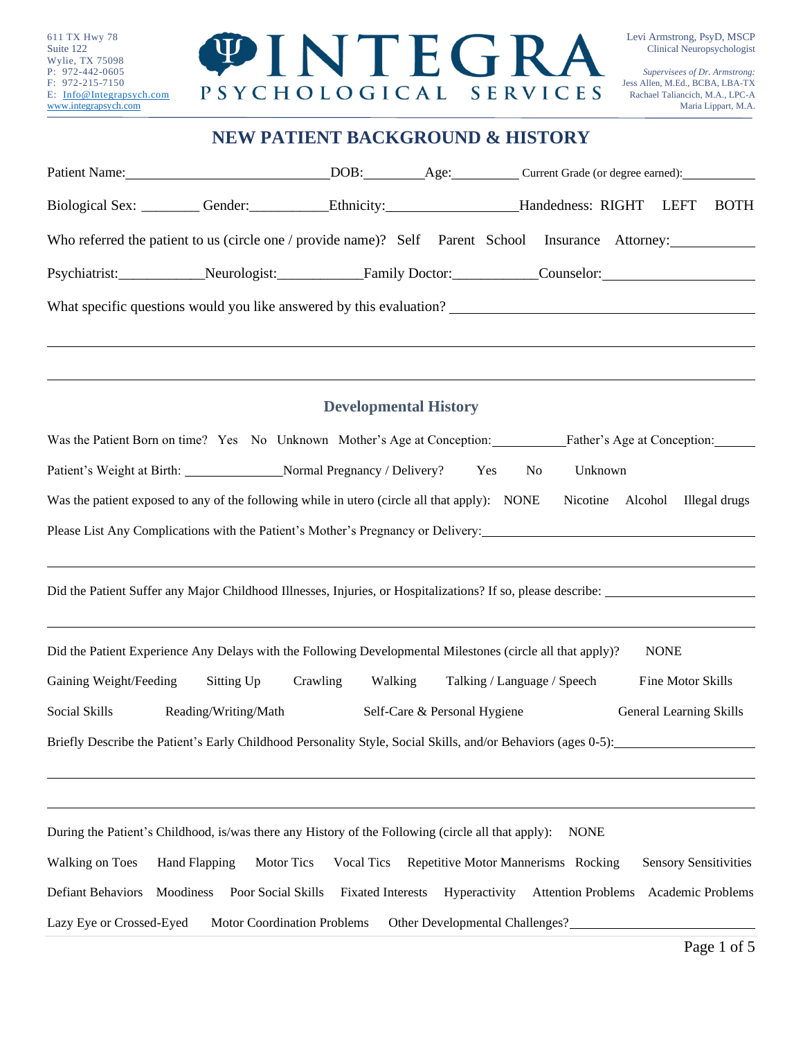

# **NEW PATIENT BACKGROUND & HISTORY**

| Biological Sex: Cender: Cender: Ethnicity: Handedness: RIGHT LEFT                                             |                              |                                 |                                     | <b>BOTH</b>                    |
|---------------------------------------------------------------------------------------------------------------|------------------------------|---------------------------------|-------------------------------------|--------------------------------|
| Who referred the patient to us (circle one / provide name)? Self Parent School Insurance Attorney:            |                              |                                 |                                     |                                |
|                                                                                                               |                              |                                 |                                     |                                |
| What specific questions would you like answered by this evaluation?                                           |                              |                                 |                                     |                                |
|                                                                                                               |                              |                                 |                                     |                                |
|                                                                                                               |                              |                                 |                                     |                                |
|                                                                                                               | <b>Developmental History</b> |                                 |                                     |                                |
| Was the Patient Born on time? Yes No Unknown Mother's Age at Conception: Father's Age at Conception:          |                              |                                 |                                     |                                |
| Patient's Weight at Birth: Normal Pregnancy / Delivery? Yes                                                   |                              |                                 | Unknown<br>No                       |                                |
| Was the patient exposed to any of the following while in utero (circle all that apply): NONE                  |                              |                                 |                                     | Nicotine Alcohol Illegal drugs |
| Please List Any Complications with the Patient's Mother's Pregnancy or Delivery:                              |                              |                                 |                                     |                                |
|                                                                                                               |                              |                                 |                                     |                                |
|                                                                                                               |                              |                                 |                                     |                                |
|                                                                                                               |                              |                                 |                                     |                                |
| Did the Patient Experience Any Delays with the Following Developmental Milestones (circle all that apply)?    |                              |                                 |                                     | <b>NONE</b>                    |
| Gaining Weight/Feeding<br>Sitting Up                                                                          | Crawling<br>Walking          |                                 | Talking / Language / Speech         | Fine Motor Skills              |
| Social Skills<br>Reading/Writing/Math                                                                         |                              | Self-Care & Personal Hygiene    |                                     | General Learning Skills        |
| Briefly Describe the Patient's Early Childhood Personality Style, Social Skills, and/or Behaviors (ages 0-5): |                              |                                 |                                     |                                |
|                                                                                                               |                              |                                 |                                     |                                |
|                                                                                                               |                              |                                 |                                     |                                |
| During the Patient's Childhood, is/was there any History of the Following (circle all that apply):            |                              |                                 | <b>NONE</b>                         |                                |
| Walking on Toes<br>Motor Tics<br>Hand Flapping                                                                | <b>Vocal Tics</b>            |                                 | Repetitive Motor Mannerisms Rocking | <b>Sensory Sensitivities</b>   |
| Defiant Behaviors<br>Moodiness<br>Poor Social Skills                                                          | <b>Fixated Interests</b>     | Hyperactivity                   | <b>Attention Problems</b>           | Academic Problems              |
| Lazy Eye or Crossed-Eyed<br>Motor Coordination Problems                                                       |                              | Other Developmental Challenges? |                                     |                                |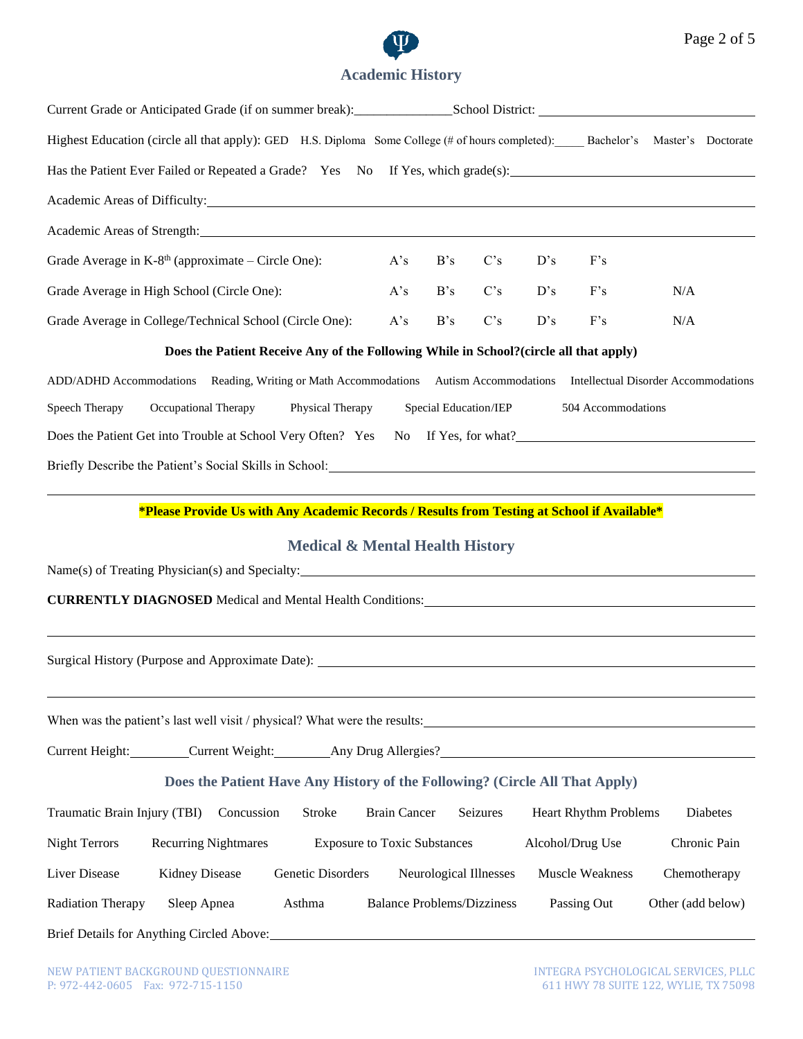

# **Academic History**

| Highest Education (circle all that apply): GED H.S. Diploma Some College (# of hours completed): Bachelor's Master's Doctorate                                                                                                      |                                            |                     |                                   |          |     |                              |                   |              |
|-------------------------------------------------------------------------------------------------------------------------------------------------------------------------------------------------------------------------------------|--------------------------------------------|---------------------|-----------------------------------|----------|-----|------------------------------|-------------------|--------------|
|                                                                                                                                                                                                                                     |                                            |                     |                                   |          |     |                              |                   |              |
| Academic Areas of Difficulty:                                                                                                                                                                                                       |                                            |                     |                                   |          |     |                              |                   |              |
| Academic Areas of Strength: Manual Academic Areas of Strength:                                                                                                                                                                      |                                            |                     |                                   |          |     |                              |                   |              |
| Grade Average in $K-8th$ (approximate – Circle One):                                                                                                                                                                                |                                            | A's                 | B's                               | C's      | D's | F's                          |                   |              |
| Grade Average in High School (Circle One):                                                                                                                                                                                          |                                            | A's                 | B's                               | C's      | D's | F's                          | N/A               |              |
| Grade Average in College/Technical School (Circle One):                                                                                                                                                                             |                                            | A's                 | B's                               | C's      | D's | F's                          | N/A               |              |
| Does the Patient Receive Any of the Following While in School? (circle all that apply)                                                                                                                                              |                                            |                     |                                   |          |     |                              |                   |              |
| ADD/ADHD Accommodations Reading, Writing or Math Accommodations Autism Accommodations Intellectual Disorder Accommodations                                                                                                          |                                            |                     |                                   |          |     |                              |                   |              |
| Speech Therapy<br>Occupational Therapy                                                                                                                                                                                              | Physical Therapy                           |                     | Special Education/IEP             |          |     | 504 Accommodations           |                   |              |
| Does the Patient Get into Trouble at School Very Often? Yes                                                                                                                                                                         |                                            |                     |                                   |          |     | No If Yes, for what?         |                   |              |
| Briefly Describe the Patient's Social Skills in School: <u>Charles and School</u> School and School and School and School and School and School and School and School and School and School and School and School and School and Sc |                                            |                     |                                   |          |     |                              |                   |              |
| *Please Provide Us with Any Academic Records / Results from Testing at School if Available*                                                                                                                                         |                                            |                     |                                   |          |     |                              |                   |              |
|                                                                                                                                                                                                                                     | <b>Medical &amp; Mental Health History</b> |                     |                                   |          |     |                              |                   |              |
|                                                                                                                                                                                                                                     |                                            |                     |                                   |          |     |                              |                   |              |
| CURRENTLY DIAGNOSED Medical and Mental Health Conditions: National Account of the Medical and Mental Health Conditions:                                                                                                             |                                            |                     |                                   |          |     |                              |                   |              |
|                                                                                                                                                                                                                                     |                                            |                     |                                   |          |     |                              |                   |              |
| Surgical History (Purpose and Approximate Date): ________________________________                                                                                                                                                   |                                            |                     |                                   |          |     |                              |                   |              |
|                                                                                                                                                                                                                                     |                                            |                     |                                   |          |     |                              |                   |              |
| When was the patient's last well visit / physical? What were the results:                                                                                                                                                           |                                            |                     |                                   |          |     |                              |                   |              |
| Current Height: Current Weight: Any Drug Allergies? Current Height:                                                                                                                                                                 |                                            |                     |                                   |          |     |                              |                   |              |
| Does the Patient Have Any History of the Following? (Circle All That Apply)                                                                                                                                                         |                                            |                     |                                   |          |     |                              |                   |              |
| Traumatic Brain Injury (TBI)<br>Concussion                                                                                                                                                                                          | Stroke                                     | <b>Brain Cancer</b> |                                   | Seizures |     | <b>Heart Rhythm Problems</b> |                   | Diabetes     |
| <b>Night Terrors</b><br><b>Recurring Nightmares</b>                                                                                                                                                                                 | <b>Exposure to Toxic Substances</b>        |                     |                                   |          |     | Alcohol/Drug Use             |                   | Chronic Pain |
| Liver Disease<br>Kidney Disease                                                                                                                                                                                                     | Genetic Disorders                          |                     | Neurological Illnesses            |          |     | Muscle Weakness              | Chemotherapy      |              |
| <b>Radiation Therapy</b><br>Sleep Apnea                                                                                                                                                                                             | Asthma                                     |                     | <b>Balance Problems/Dizziness</b> |          |     | Passing Out                  | Other (add below) |              |
|                                                                                                                                                                                                                                     |                                            |                     |                                   |          |     |                              |                   |              |
|                                                                                                                                                                                                                                     |                                            |                     |                                   |          |     |                              |                   |              |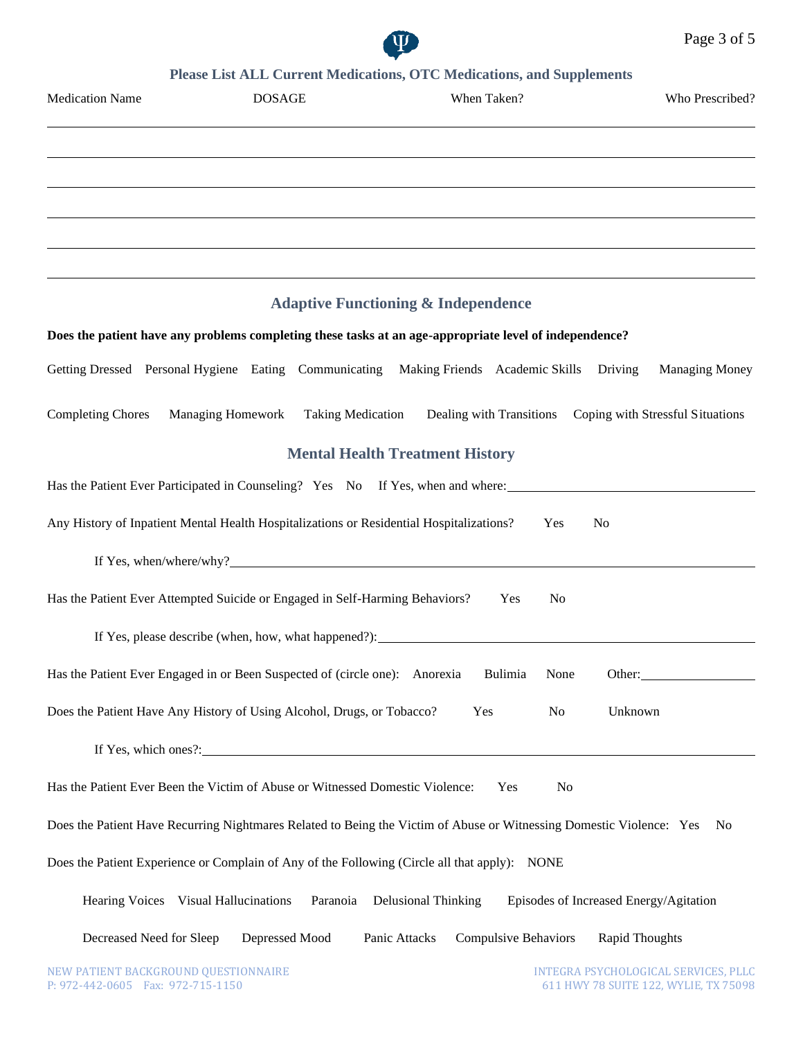

### **Please List ALL Current Medications, OTC Medications, and Supplements**

| <b>Medication Name</b>               | <b>DOSAGE</b>                                                                            | When Taken?                                                                                                          | Who Prescribed?                        |
|--------------------------------------|------------------------------------------------------------------------------------------|----------------------------------------------------------------------------------------------------------------------|----------------------------------------|
|                                      |                                                                                          |                                                                                                                      |                                        |
|                                      |                                                                                          |                                                                                                                      |                                        |
|                                      |                                                                                          |                                                                                                                      |                                        |
|                                      |                                                                                          |                                                                                                                      |                                        |
|                                      |                                                                                          | <b>Adaptive Functioning &amp; Independence</b>                                                                       |                                        |
|                                      |                                                                                          | Does the patient have any problems completing these tasks at an age-appropriate level of independence?               |                                        |
|                                      |                                                                                          | Getting Dressed Personal Hygiene Eating Communicating Making Friends Academic Skills Driving                         | <b>Managing Money</b>                  |
| <b>Completing Chores</b>             | <b>Managing Homework</b><br><b>Taking Medication</b>                                     | Dealing with Transitions                                                                                             | Coping with Stressful Situations       |
|                                      |                                                                                          | <b>Mental Health Treatment History</b>                                                                               |                                        |
|                                      |                                                                                          | Has the Patient Ever Participated in Counseling? Yes No If Yes, when and where:                                      |                                        |
|                                      | Any History of Inpatient Mental Health Hospitalizations or Residential Hospitalizations? |                                                                                                                      | Yes<br>N <sub>0</sub>                  |
|                                      |                                                                                          |                                                                                                                      |                                        |
|                                      | Has the Patient Ever Attempted Suicide or Engaged in Self-Harming Behaviors?             | Yes                                                                                                                  | No                                     |
|                                      |                                                                                          |                                                                                                                      |                                        |
|                                      | Has the Patient Ever Engaged in or Been Suspected of (circle one): Anorexia              | Bulimia                                                                                                              | None<br>Other:                         |
|                                      | Does the Patient Have Any History of Using Alcohol, Drugs, or Tobacco?                   | Yes                                                                                                                  | Unknown<br>N <sub>0</sub>              |
|                                      |                                                                                          | If Yes, which ones?:                                                                                                 |                                        |
|                                      | Has the Patient Ever Been the Victim of Abuse or Witnessed Domestic Violence:            | Yes                                                                                                                  | No                                     |
|                                      |                                                                                          | Does the Patient Have Recurring Nightmares Related to Being the Victim of Abuse or Witnessing Domestic Violence: Yes | N <sub>0</sub>                         |
|                                      |                                                                                          | Does the Patient Experience or Complain of Any of the Following (Circle all that apply): NONE                        |                                        |
| Hearing Voices Visual Hallucinations | Paranoia                                                                                 | <b>Delusional Thinking</b>                                                                                           | Episodes of Increased Energy/Agitation |
| Decreased Need for Sleep             | Depressed Mood                                                                           | <b>Compulsive Behaviors</b><br>Panic Attacks                                                                         | <b>Rapid Thoughts</b>                  |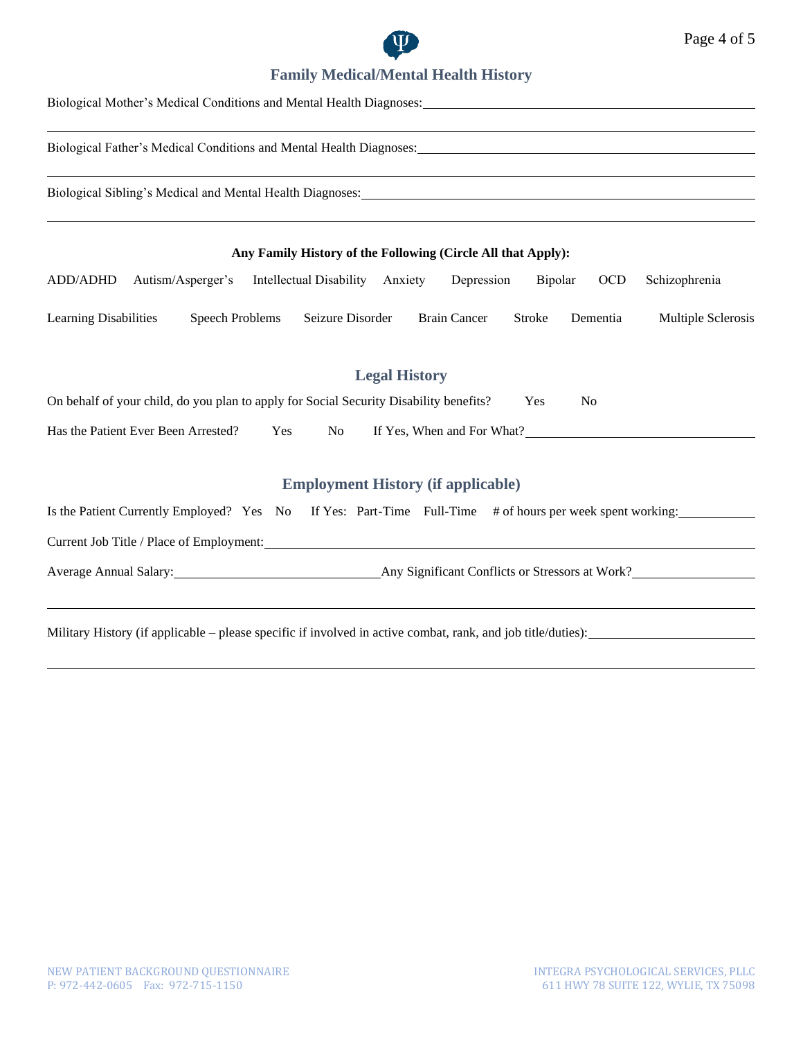

# **Family Medical/Mental Health History**

| Biological Mother's Medical Conditions and Mental Health Diagnoses: 1986. The Conditional School of the Conditions and Mental Health Diagnoses: 1986. The Conditions of the Conditions of the Conditions of the Conditions of |
|-------------------------------------------------------------------------------------------------------------------------------------------------------------------------------------------------------------------------------|
|                                                                                                                                                                                                                               |
| Biological Sibling's Medical and Mental Health Diagnoses: North American School and Mental School and Mental Health Diagnoses:                                                                                                |
| Any Family History of the Following (Circle All that Apply):                                                                                                                                                                  |
| Autism/Asperger's Intellectual Disability Anxiety Depression<br>Bipolar<br><b>OCD</b><br>ADD/ADHD<br>Schizophrenia                                                                                                            |
| Learning Disabilities<br><b>Speech Problems</b><br>Seizure Disorder<br><b>Brain Cancer</b><br>Multiple Sclerosis<br>Stroke<br>Dementia                                                                                        |
| <b>Legal History</b><br>On behalf of your child, do you plan to apply for Social Security Disability benefits?<br>Yes<br>N <sub>0</sub>                                                                                       |
| Has the Patient Ever Been Arrested?<br>If Yes, When and For What?<br>Yes<br>No                                                                                                                                                |
| <b>Employment History (if applicable)</b>                                                                                                                                                                                     |
| Is the Patient Currently Employed? Yes No If Yes: Part-Time Full-Time # of hours per week spent working:                                                                                                                      |
|                                                                                                                                                                                                                               |
|                                                                                                                                                                                                                               |
|                                                                                                                                                                                                                               |